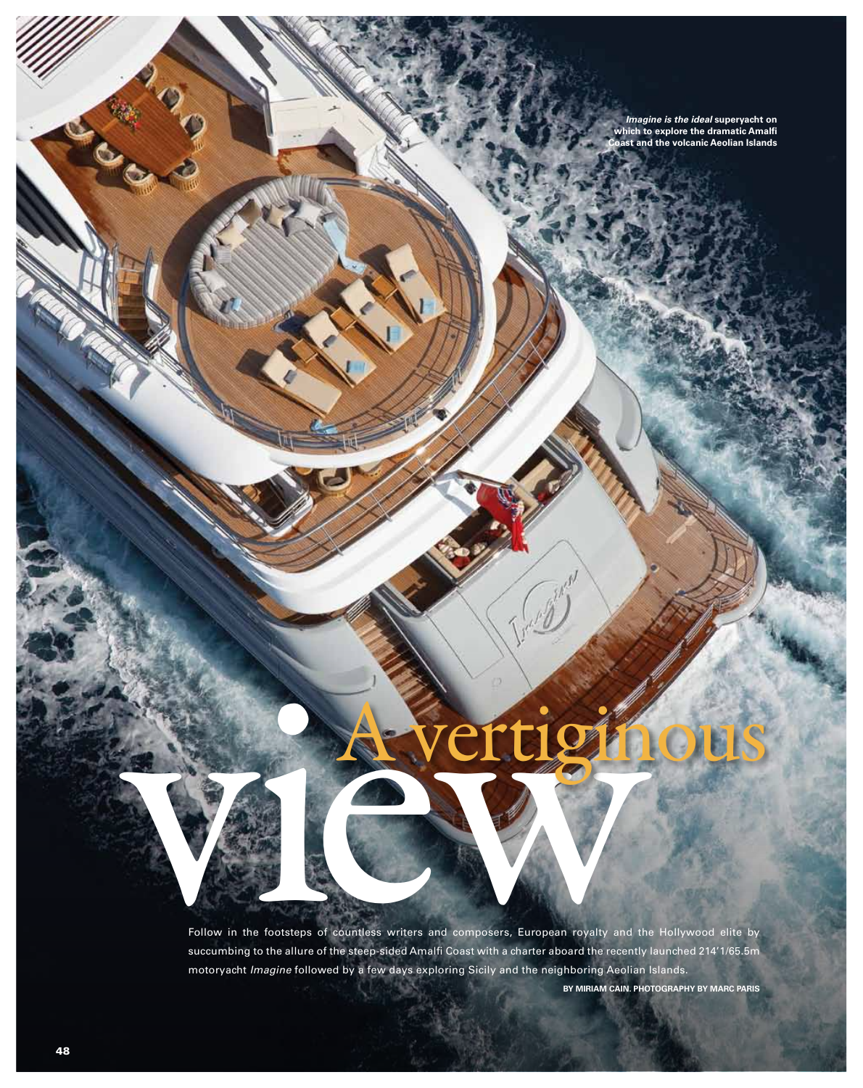*Imagine is the ideal* **superyacht on which to explore the dramatic Amalfi Coast and the volcanic Aeolian Islands**

# A vertiginous

Follow in the footsteps of countless writers and composers, European royalty and the Hollywood succumbing to the silure of the step-sided Amalti Coast with a charter aboard the recently launched 21. Follow in the footsteps of countless writers and composers, European royalty and the Hollywood elite by succumbing to the allure of the steep-sided Amalfi Coast with a charter aboard the recently launched 214'1/65.5m motoryacht *Imagine* followed by a few days exploring Sicily and the neighboring Aeolian Islands.

**By Miriam Cain. Photography by Marc Paris** 

*Only* 

MaryJean II & the Adriatic coast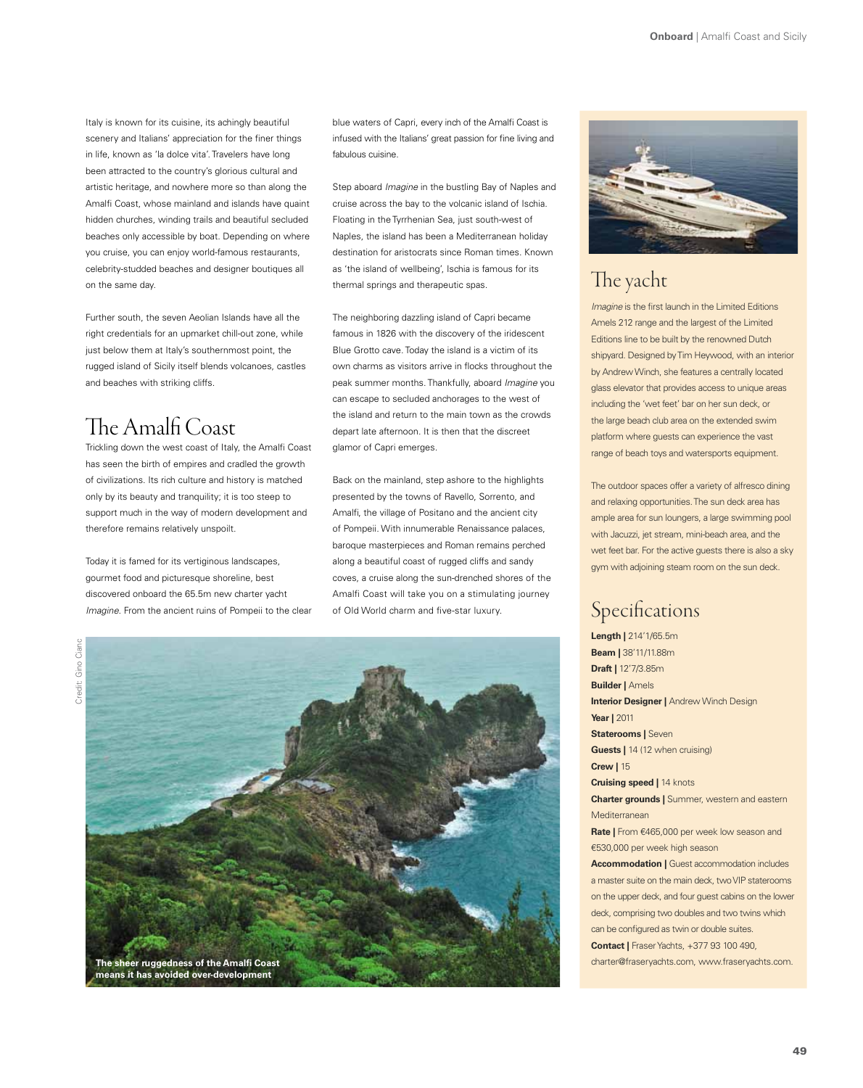Italy is known for its cuisine, its achingly beautiful scenery and Italians' appreciation for the finer things in life, known as 'la dolce vita'. Travelers have long been attracted to the country's glorious cultural and artistic heritage, and nowhere more so than along the Amalfi Coast, whose mainland and islands have quaint hidden churches, winding trails and beautiful secluded beaches only accessible by boat. Depending on where you cruise, you can enjoy world-famous restaurants, celebrity-studded beaches and designer boutiques all on the same day.

Further south, the seven Aeolian Islands have all the right credentials for an upmarket chill-out zone, while just below them at Italy's southernmost point, the rugged island of Sicily itself blends volcanoes, castles and beaches with striking cliffs.

# The Amalfi Coast

Trickling down the west coast of Italy, the Amalfi Coast has seen the birth of empires and cradled the growth of civilizations. Its rich culture and history is matched only by its beauty and tranquility; it is too steep to support much in the way of modern development and therefore remains relatively unspoilt.

Today it is famed for its vertiginous landscapes, gourmet food and picturesque shoreline, best discovered onboard the 65.5m new charter yacht *Imagine*. From the ancient ruins of Pompeii to the clear

Credit: Gino CiancCredit: Gino Ciano



blue waters of Capri, every inch of the Amalfi Coast is infused with the Italians' great passion for fine living and fabulous cuisine.

Step aboard *Imagine* in the bustling Bay of Naples and cruise across the bay to the volcanic island of Ischia. Floating in the Tyrrhenian Sea, just south-west of Naples, the island has been a Mediterranean holiday destination for aristocrats since Roman times. Known as 'the island of wellbeing', Ischia is famous for its thermal springs and therapeutic spas.

The neighboring dazzling island of Capri became famous in 1826 with the discovery of the iridescent Blue Grotto cave. Today the island is a victim of its own charms as visitors arrive in flocks throughout the peak summer months. Thankfully, aboard *Imagine* you can escape to secluded anchorages to the west of the island and return to the main town as the crowds depart late afternoon. It is then that the discreet glamor of Capri emerges.

Back on the mainland, step ashore to the highlights presented by the towns of Ravello, Sorrento, and Amalfi, the village of Positano and the ancient city of Pompeii. With innumerable Renaissance palaces, baroque masterpieces and Roman remains perched along a beautiful coast of rugged cliffs and sandy coves, a cruise along the sun-drenched shores of the Amalfi Coast will take you on a stimulating journey of Old World charm and five-star luxury.



## The yacht

*Imagine* is the first launch in the Limited Editions Amels 212 range and the largest of the Limited Editions line to be built by the renowned Dutch shipyard. Designed by Tim Heywood, with an interior by Andrew Winch, she features a centrally located glass elevator that provides access to unique areas including the 'wet feet' bar on her sun deck, or the large beach club area on the extended swim platform where guests can experience the vast range of beach toys and watersports equipment.

The outdoor spaces offer a variety of alfresco dining and relaxing opportunities. The sun deck area has ample area for sun loungers, a large swimming pool with Jacuzzi, jet stream, mini-beach area, and the wet feet bar. For the active guests there is also a sky gym with adjoining steam room on the sun deck.

## Specifications

**Length |** 214'1/65.5m **Beam |** 38'11/11.88m **Draft |** 12'7/3.85m **Builder |** Amels **Interior Designer | Andrew Winch Design Year |** 2011 **Staterooms | Seven Guests | 14 (12 when cruising) Crew |** 15 **Cruising speed |** 14 knots **Charter grounds |** Summer, western and eastern Mediterranean **Rate |** From €465,000 per week low season and €530,000 per week high season **Accommodation | Guest accommodation includes** a master suite on the main deck, two VIP staterooms on the upper deck, and four guest cabins on the lower deck, comprising two doubles and two twins which can be configured as twin or double suites. **Contact |** Fraser Yachts, +377 93 100 490,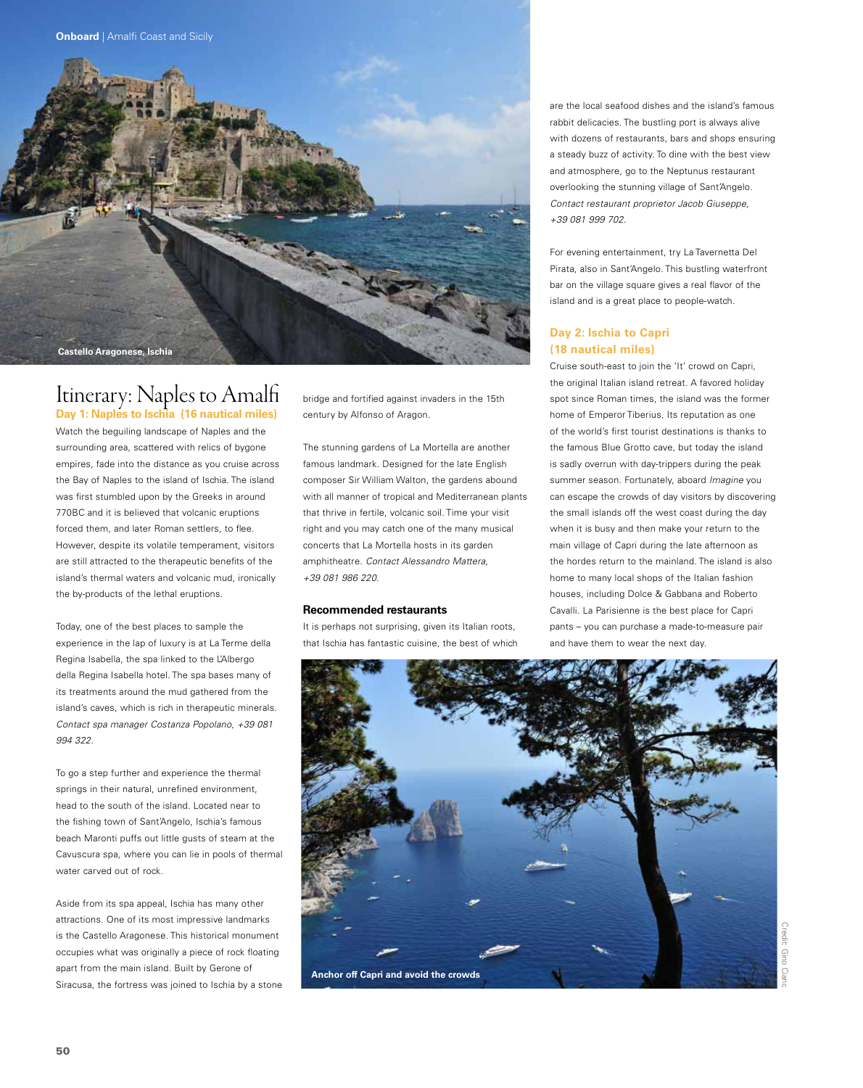

## Itinerary: Naples to Amalfi **Day 1: Naples to Ischia (16 nautical miles)**

Watch the beguiling landscape of Naples and the surrounding area, scattered with relics of bygone empires, fade into the distance as you cruise across the Bay of Naples to the island of Ischia. The island was first stumbled upon by the Greeks in around 770BC and it is believed that volcanic eruptions forced them, and later Roman settlers, to flee. However, despite its volatile temperament, visitors are still attracted to the therapeutic benefits of the island's thermal waters and volcanic mud, ironically the by-products of the lethal eruptions.

Today, one of the best places to sample the experience in the lap of luxury is at La Terme della Regina Isabella, the spa linked to the L'Albergo della Regina Isabella hotel. The spa bases many of its treatments around the mud gathered from the island's caves, which is rich in therapeutic minerals. *Contact spa manager Costanza Popolano, +39 081 994 322.*

To go a step further and experience the thermal springs in their natural, unrefined environment, head to the south of the island. Located near to the fishing town of Sant'Angelo, Ischia's famous beach Maronti puffs out little gusts of steam at the Cavuscura spa, where you can lie in pools of thermal water carved out of rock.

Aside from its spa appeal, Ischia has many other attractions. One of its most impressive landmarks is the Castello Aragonese. This historical monument occupies what was originally a piece of rock floating apart from the main island. Built by Gerone of Siracusa, the fortress was joined to Ischia by a stone bridge and fortified against invaders in the 15th century by Alfonso of Aragon.

The stunning gardens of La Mortella are another famous landmark. Designed for the late English composer Sir William Walton, the gardens abound with all manner of tropical and Mediterranean plants that thrive in fertile, volcanic soil. Time your visit right and you may catch one of the many musical concerts that La Mortella hosts in its garden amphitheatre. *Contact Alessandro Mattera, +39 081 986 220.* 

#### **Recommended restaurants**

It is perhaps not surprising, given its Italian roots, that Ischia has fantastic cuisine, the best of which are the local seafood dishes and the island's famous rabbit delicacies. The bustling port is always alive with dozens of restaurants, bars and shops ensuring a steady buzz of activity. To dine with the best view and atmosphere, go to the Neptunus restaurant overlooking the stunning village of Sant'Angelo. *Contact restaurant proprietor Jacob Giuseppe, +39 081 999 702.*

For evening entertainment, try La Tavernetta Del Pirata, also in Sant'Angelo. This bustling waterfront bar on the village square gives a real flavor of the island and is a great place to people-watch.

#### **Day 2: Ischia to Capri (18 nautical miles)**

Cruise south-east to join the 'It' crowd on Capri, the original Italian island retreat. A favored holiday spot since Roman times, the island was the former home of Emperor Tiberius. Its reputation as one of the world's first tourist destinations is thanks to the famous Blue Grotto cave, but today the island is sadly overrun with day-trippers during the peak summer season. Fortunately, aboard *Imagine* you can escape the crowds of day visitors by discovering the small islands off the west coast during the day when it is busy and then make your return to the main village of Capri during the late afternoon as the hordes return to the mainland. The island is also home to many local shops of the Italian fashion houses, including Dolce & Gabbana and Roberto Cavalli. La Parisienne is the best place for Capri pants – you can purchase a made-to-measure pair and have them to wear the next day.

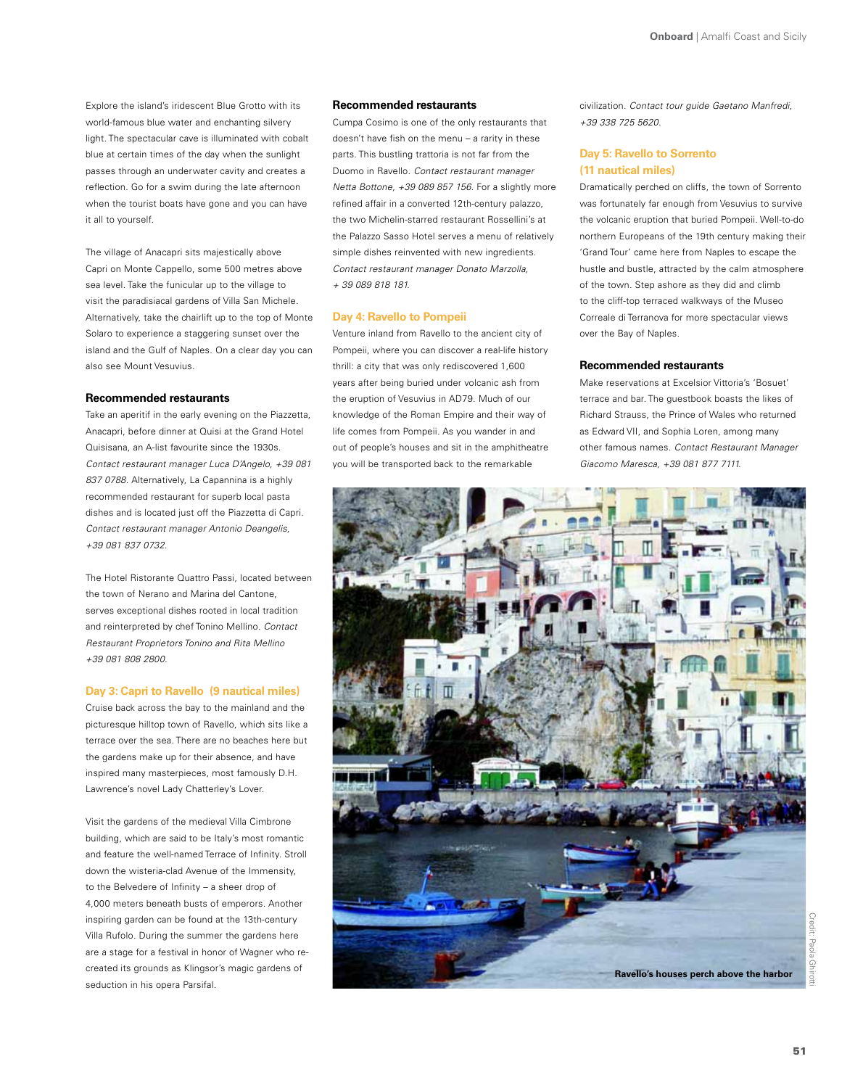Explore the island's iridescent Blue Grotto with its world-famous blue water and enchanting silvery light. The spectacular cave is illuminated with cobalt blue at certain times of the day when the sunlight passes through an underwater cavity and creates a reflection. Go for a swim during the late afternoon when the tourist boats have gone and you can have it all to yourself.

The village of Anacapri sits majestically above Capri on Monte Cappello, some 500 metres above sea level. Take the funicular up to the village to visit the paradisiacal gardens of Villa San Michele. Alternatively, take the chairlift up to the top of Monte Solaro to experience a staggering sunset over the island and the Gulf of Naples. On a clear day you can also see Mount Vesuvius.

#### **Recommended restaurants**

Take an aperitif in the early evening on the Piazzetta, Anacapri, before dinner at Quisi at the Grand Hotel Quisisana, an A-list favourite since the 1930s. *Contact restaurant manager Luca D'Angelo, +39 081 837 0788.* Alternatively, La Capannina is a highly recommended restaurant for superb local pasta dishes and is located just off the Piazzetta di Capri. *Contact restaurant manager Antonio Deangelis, +39 081 837 0732.*

The Hotel Ristorante Quattro Passi, located between the town of Nerano and Marina del Cantone, serves exceptional dishes rooted in local tradition and reinterpreted by chef Tonino Mellino. *Contact Restaurant Proprietors Tonino and Rita Mellino +39 081 808 2800.*

#### **Day 3: Capri to Ravello (9 nautical miles)**

Cruise back across the bay to the mainland and the picturesque hilltop town of Ravello, which sits like a terrace over the sea. There are no beaches here but the gardens make up for their absence, and have inspired many masterpieces, most famously D.H. Lawrence's novel Lady Chatterley's Lover.

Visit the gardens of the medieval Villa Cimbrone building, which are said to be Italy's most romantic and feature the well-named Terrace of Infinity. Stroll down the wisteria-clad Avenue of the Immensity, to the Belvedere of Infinity – a sheer drop of 4,000 meters beneath busts of emperors. Another inspiring garden can be found at the 13th-century Villa Rufolo. During the summer the gardens here are a stage for a festival in honor of Wagner who recreated its grounds as Klingsor's magic gardens of seduction in his opera Parsifal.

#### **Recommended restaurants**

Cumpa Cosimo is one of the only restaurants that doesn't have fish on the menu – a rarity in these parts. This bustling trattoria is not far from the Duomo in Ravello. *Contact restaurant manager Netta Bottone, +39 089 857 156.* For a slightly more refined affair in a converted 12th-century palazzo, the two Michelin-starred restaurant Rossellini's at the Palazzo Sasso Hotel serves a menu of relatively simple dishes reinvented with new ingredients. *Contact restaurant manager Donato Marzolla, + 39 089 818 181.*

#### **Day 4: Ravello to Pompeii**

Venture inland from Ravello to the ancient city of Pompeii, where you can discover a real-life history thrill: a city that was only rediscovered 1,600 years after being buried under volcanic ash from the eruption of Vesuvius in AD79. Much of our knowledge of the Roman Empire and their way of life comes from Pompeii. As you wander in and out of people's houses and sit in the amphitheatre you will be transported back to the remarkable

civilization. *Contact tour guide Gaetano Manfredi, +39 338 725 5620.* 

#### **Day 5: Ravello to Sorrento (11 nautical miles)**

Dramatically perched on cliffs, the town of Sorrento was fortunately far enough from Vesuvius to survive the volcanic eruption that buried Pompeii. Well-to-do northern Europeans of the 19th century making their 'Grand Tour' came here from Naples to escape the hustle and bustle, attracted by the calm atmosphere of the town. Step ashore as they did and climb to the cliff-top terraced walkways of the Museo Correale di Terranova for more spectacular views over the Bay of Naples.

#### **Recommended restaurants**

Make reservations at Excelsior Vittoria's 'Bosuet' terrace and bar. The guestbook boasts the likes of Richard Strauss, the Prince of Wales who returned as Edward VII, and Sophia Loren, among many other famous names. *Contact Restaurant Manager Giacomo Maresca, +39 081 877 7111.*

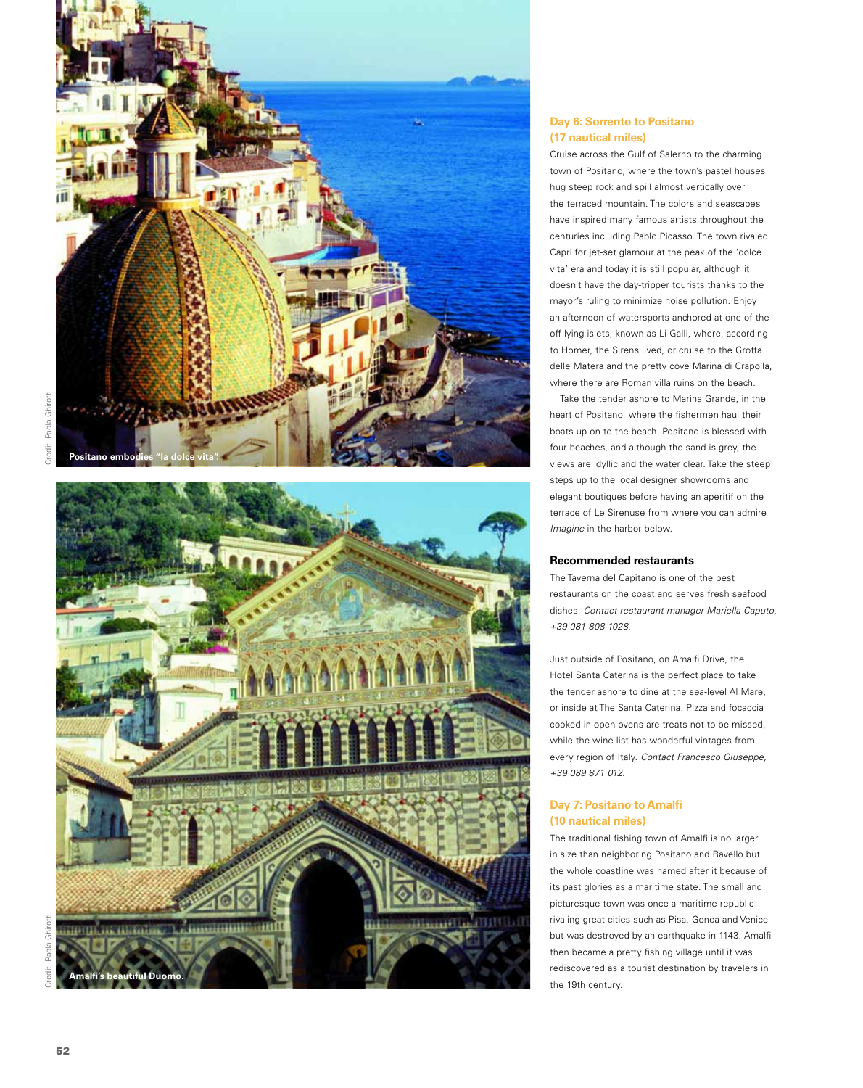



#### **Day 6: Sorrento to Positano (17 nautical miles)**

Cruise across the Gulf of Salerno to the charming town of Positano, where the town's pastel houses hug steep rock and spill almost vertically over the terraced mountain. The colors and seascapes have inspired many famous artists throughout the centuries including Pablo Picasso. The town rivaled Capri for jet-set glamour at the peak of the 'dolce vita' era and today it is still popular, although it doesn't have the day-tripper tourists thanks to the mayor's ruling to minimize noise pollution. Enjoy an afternoon of watersports anchored at one of the off-lying islets, known as Li Galli, where, according to Homer, the Sirens lived, or cruise to the Grotta delle Matera and the pretty cove Marina di Crapolla, where there are Roman villa ruins on the beach.

Take the tender ashore to Marina Grande, in the heart of Positano, where the fishermen haul their boats up on to the beach. Positano is blessed with four beaches, and although the sand is grey, the views are idyllic and the water clear. Take the steep steps up to the local designer showrooms and elegant boutiques before having an aperitif on the terrace of Le Sirenuse from where you can admire *Imagine* in the harbor below.

#### **Recommended restaurants**

The Taverna del Capitano is one of the best restaurants on the coast and serves fresh seafood dishes. *Contact restaurant manager Mariella Caputo, +39 081 808 1028.*

Just outside of Positano, on Amalfi Drive, the Hotel Santa Caterina is the perfect place to take the tender ashore to dine at the sea-level Al Mare, or inside at The Santa Caterina. Pizza and focaccia cooked in open ovens are treats not to be missed, while the wine list has wonderful vintages from every region of Italy. *Contact Francesco Giuseppe, +39 089 871 012.*

#### **Day 7: Positano to Amalfi (10 nautical miles)**

The traditional fishing town of Amalfi is no larger in size than neighboring Positano and Ravello but the whole coastline was named after it because of its past glories as a maritime state. The small and picturesque town was once a maritime republic rivaling great cities such as Pisa, Genoa and Venice but was destroyed by an earthquake in 1143. Amalfi then became a pretty fishing village until it was rediscovered as a tourist destination by travelers in the 19th century.

Credit: Paola Ghirotti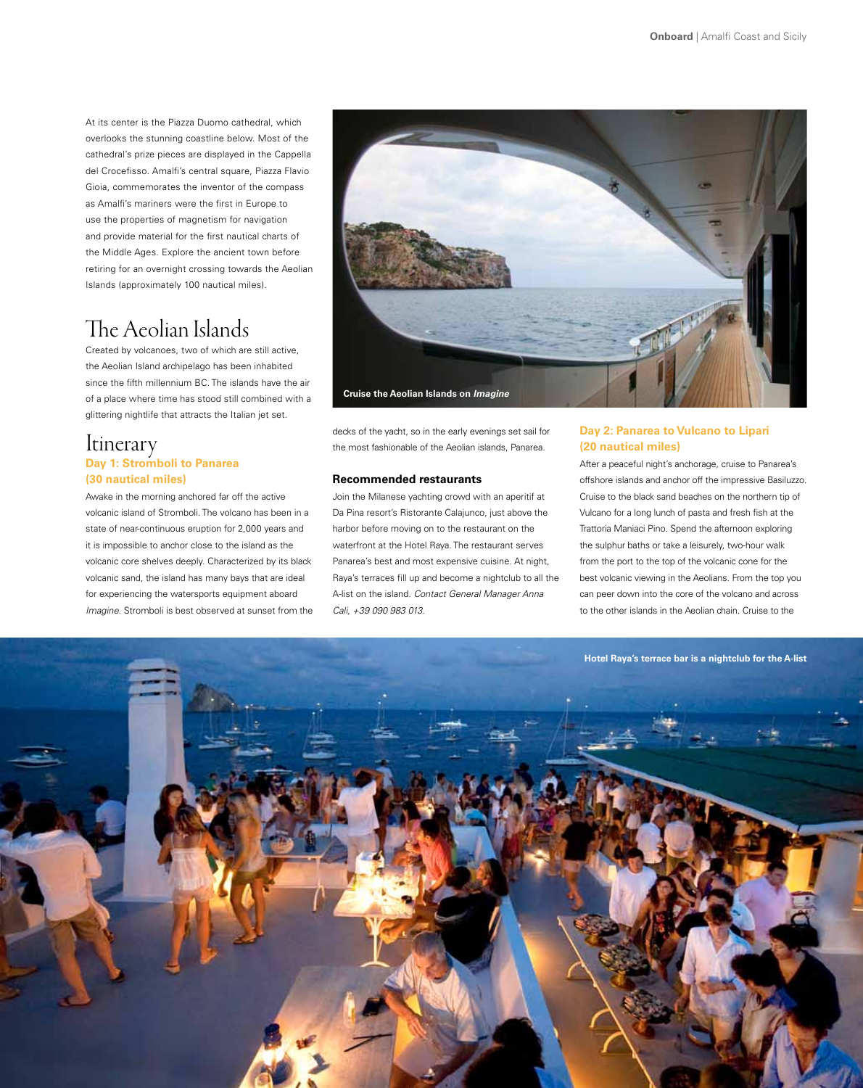At its center is the Piazza Duomo cathedral, which overlooks the stunning coastline below. Most of the cathedral's prize pieces are displayed in the Cappella del Crocefisso. Amalfi's central square, Piazza Flavio Gioia, commemorates the inventor of the compass as Amalfi's mariners were the first in Europe to use the properties of magnetism for navigation and provide material for the first nautical charts of the Middle Ages. Explore the ancient town before retiring for an overnight crossing towards the Aeolian Islands (approximately 100 nautical miles).

## The Aeolian Islands

Created by volcanoes, two of which are still active, the Aeolian Island archipelago has been inhabited since the fifth millennium BC. The islands have the air of a place where time has stood still combined with a glittering nightlife that attracts the Italian jet set.

### **Itinerary Day 1: Stromboli to Panarea (30 nautical miles)**

Awake in the morning anchored far off the active volcanic island of Stromboli. The volcano has been in a state of near-continuous eruption for 2,000 years and it is impossible to anchor close to the island as the volcanic core shelves deeply. Characterized by its black volcanic sand, the island has many bays that are ideal for experiencing the watersports equipment aboard *Imagine*. Stromboli is best observed at sunset from the



decks of the yacht, so in the early evenings set sail for the most fashionable of the Aeolian islands, Panarea.

#### **Recommended restaurants**

Join the Milanese yachting crowd with an aperitif at Da Pina resort's Ristorante Calajunco, just above the harbor before moving on to the restaurant on the waterfront at the Hotel Raya. The restaurant serves Panarea's best and most expensive cuisine. At night, Raya's terraces fill up and become a nightclub to all the A-list on the island. *Contact General Manager Anna Cali, +39 090 983 013.*

#### **Day 2: Panarea to Vulcano to Lipari (20 nautical miles)**

After a peaceful night's anchorage, cruise to Panarea's offshore islands and anchor off the impressive Basiluzzo. Cruise to the black sand beaches on the northern tip of Vulcano for a long lunch of pasta and fresh fish at the Trattoria Maniaci Pino. Spend the afternoon exploring the sulphur baths or take a leisurely, two-hour walk from the port to the top of the volcanic cone for the best volcanic viewing in the Aeolians. From the top you can peer down into the core of the volcano and across to the other islands in the Aeolian chain. Cruise to the

**Hotel Raya's terrace bar is a nightclub for the A-list**

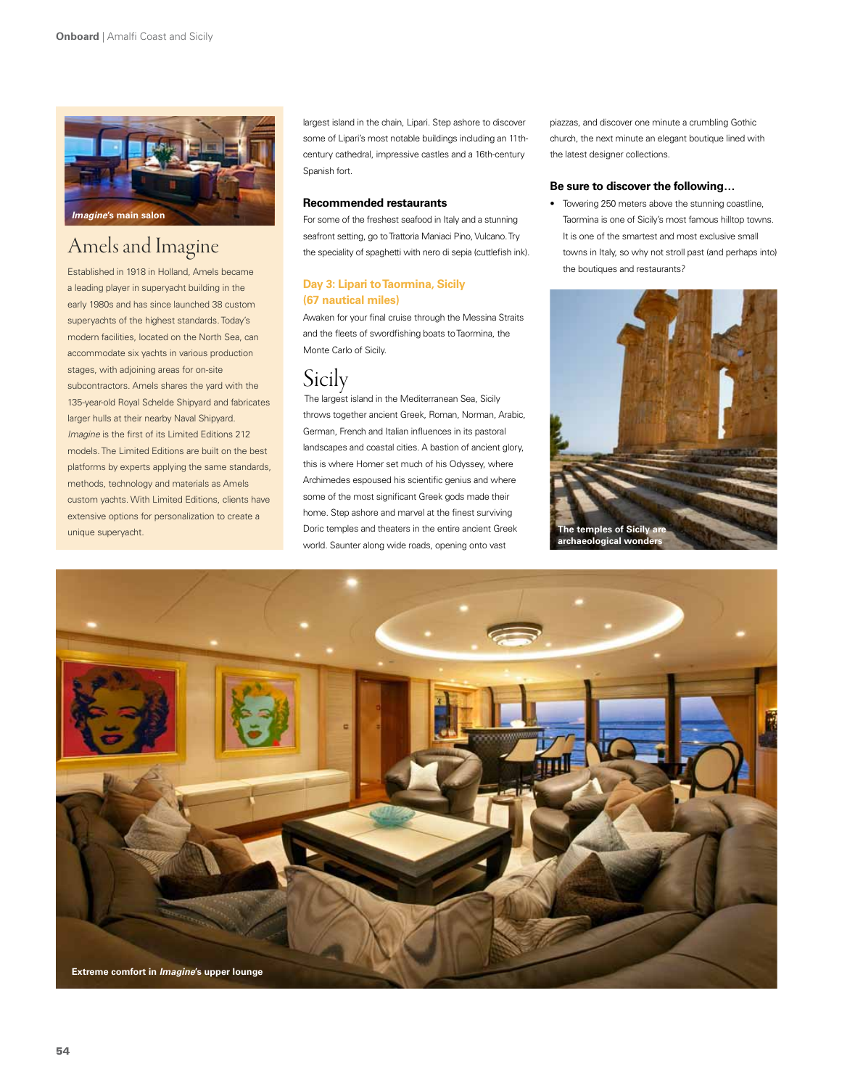

# Amels and Imagine

Established in 1918 in Holland, Amels became a leading player in superyacht building in the early 1980s and has since launched 38 custom superyachts of the highest standards. Today's modern facilities, located on the North Sea, can accommodate six yachts in various production stages, with adjoining areas for on-site subcontractors. Amels shares the yard with the 135-year-old Royal Schelde Shipyard and fabricates larger hulls at their nearby Naval Shipyard. *Imagine* is the first of its Limited Editions 212 models. The Limited Editions are built on the best platforms by experts applying the same standards, methods, technology and materials as Amels custom yachts. With Limited Editions, clients have extensive options for personalization to create a unique superyacht.

largest island in the chain, Lipari. Step ashore to discover some of Lipari's most notable buildings including an 11thcentury cathedral, impressive castles and a 16th-century Spanish fort.

#### **Recommended restaurants**

For some of the freshest seafood in Italy and a stunning seafront setting, go to Trattoria Maniaci Pino, Vulcano. Try the speciality of spaghetti with nero di sepia (cuttlefish ink).

#### **Day 3: Lipari to Taormina, Sicily (67 nautical miles)**

Awaken for your final cruise through the Messina Straits and the fleets of swordfishing boats to Taormina, the Monte Carlo of Sicily.

## **Sicily**

 The largest island in the Mediterranean Sea, Sicily throws together ancient Greek, Roman, Norman, Arabic, German, French and Italian influences in its pastoral landscapes and coastal cities. A bastion of ancient glory, this is where Homer set much of his Odyssey, where Archimedes espoused his scientific genius and where some of the most significant Greek gods made their home. Step ashore and marvel at the finest surviving Doric temples and theaters in the entire ancient Greek world. Saunter along wide roads, opening onto vast

piazzas, and discover one minute a crumbling Gothic church, the next minute an elegant boutique lined with the latest designer collections.

#### **Be sure to discover the following…**

• Towering 250 meters above the stunning coastline, Taormina is one of Sicily's most famous hilltop towns. It is one of the smartest and most exclusive small towns in Italy, so why not stroll past (and perhaps into) the boutiques and restaurants?